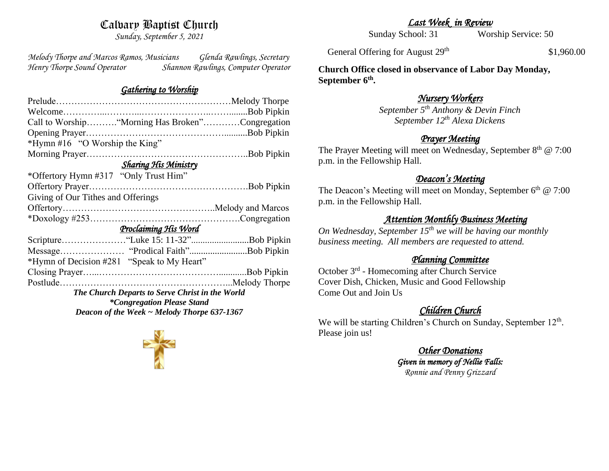# Calvary Baptist Church

*Sunday, September 5, 2021*

*Melody Thorpe and Marcos Ramos, Musicians Glenda Rawlings, Secretary Henry Thorpe Sound Operator Shannon Rawlings, Computer Operator* 

#### *Gathering to Worship*

| Call to Worship "Morning Has Broken"Congregation |  |
|--------------------------------------------------|--|
|                                                  |  |
| *Hymn #16 "O Worship the King"                   |  |
|                                                  |  |
| <b>Sharing His Ministry</b>                      |  |
| *Offertory Hymn #317 "Only Trust Him"            |  |
|                                                  |  |
| Giving of Our Tithes and Offerings               |  |
|                                                  |  |
|                                                  |  |
| <u>Proclaiming His Word</u>                      |  |
|                                                  |  |
|                                                  |  |
| *Hymn of Decision #281 "Speak to My Heart"       |  |
|                                                  |  |
|                                                  |  |
| The Church Departs to Serve Christ in the World  |  |
| <i>*Congregation Please Stand</i>                |  |
| Deacon of the Week $\sim$ Melody Thorpe 637-1367 |  |
|                                                  |  |

*Last Week in Review* 

Sunday School: 31 Worship Service: 50

General Offering for August 29<sup>th</sup>

\$1,960.00

**Church Office closed in observance of Labor Day Monday, September 6th .**

# *Nursery Workers*

*September 5th Anthony & Devin Finch September 12th Alexa Dickens* 

# *Prayer Meeting*

The Prayer Meeting will meet on Wednesday, September  $8<sup>th</sup>$  @ 7:00 p.m. in the Fellowship Hall.

### *Deacon's Meeting*

The Deacon's Meeting will meet on Monday, September 6<sup>th</sup> @ 7:00 p.m. in the Fellowship Hall.

# *Attention Monthly Business Meeting*

*On Wednesday, September 15th we will be having our monthly business meeting. All members are requested to attend.* 

## *Planning Committee*

October 3<sup>rd</sup> - Homecoming after Church Service Cover Dish, Chicken, Music and Good Fellowship Come Out and Join Us

# *Children Church*

We will be starting Children's Church on Sunday, September 12<sup>th</sup>. Please join us!

> *Other Donations Given in memory of Nellie Falls: Ronnie and Penny Grizzard*

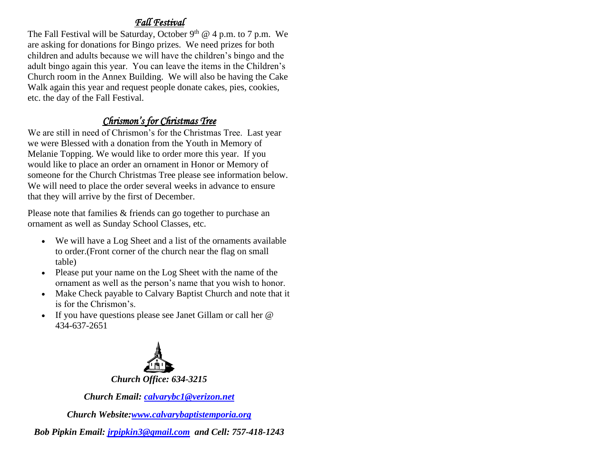# *Fall Festival*

The Fall Festival will be Saturday, October  $9<sup>th</sup>$  @ 4 p.m. to 7 p.m. We are asking for donations for Bingo prizes. We need prizes for both children and adults because we will have the children's bingo and the adult bingo again this year. You can leave the items in the Children's Church room in the Annex Building. We will also be having the Cake Walk again this year and request people donate cakes, pies, cookies, etc. the day of the Fall Festival.

# *Chrismon's for Christmas Tree*

We are still in need of Chrismon's for the Christmas Tree. Last year we were Blessed with a donation from the Youth in Memory of Melanie Topping. We would like to order more this year. If you would like to place an order an ornament in Honor or Memory of someone for the Church Christmas Tree please see information below. We will need to place the order several weeks in advance to ensure that they will arrive by the first of December.

Please note that families & friends can go together to purchase an ornament as well as Sunday School Classes, etc.

- We will have a Log Sheet and a list of the ornaments available to order.(Front corner of the church near the flag on small table)
- Please put your name on the Log Sheet with the name of the ornament as well as the person's name that you wish to honor.
- Make Check payable to Calvary Baptist Church and note that it is for the Chrismon's.
- If you have questions please see Janet Gillam or call her @ 434-637-2651



*Church Email: [calvarybc1@verizon.net](mailto:cbcemporiaoffice@gmail.com)*

*Church Website[:www.calvarybaptistemporia.org](http://www.calvarybaptistemporia.org/)*

*Bob Pipkin Email: [jrpipkin3@gmail.com](mailto:jrpipkin3@gmail.com) and Cell: 757-418-1243*